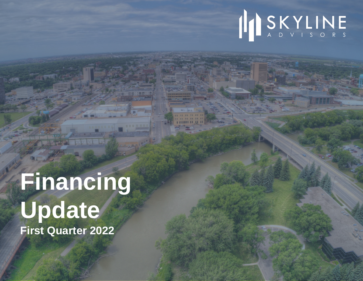# INSKYLINE

# **Financing Update First Quarter 2022**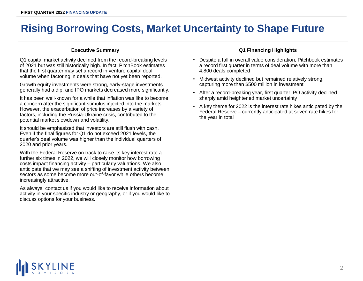## **Rising Borrowing Costs, Market Uncertainty to Shape Future**

Q1 capital market activity declined from the record-breaking levels of 2021 but was still historically high. In fact, PitchBook estimates that the first quarter may set a record in venture capital deal volume when factoring in deals that have not yet been reported.

Growth equity investments were strong, early-stage investments generally had a dip, and IPO markets decreased more significantly.

It has been well-known for a while that inflation was like to become a concern after the significant stimulus injected into the markets. However, the exacerbation of price increases by a variety of factors, including the Russia-Ukraine crisis, contributed to the potential market slowdown and volatility.

It should be emphasized that investors are still flush with cash. Even if the final figures for Q1 do not exceed 2021 levels, the quarter's deal volume was higher than the individual quarters of 2020 and prior years.

With the Federal Reserve on track to raise its key interest rate a further six times in 2022, we will closely monitor how borrowing costs impact financing activity – particularly valuations. We also anticipate that we may see a shifting of investment activity between sectors as some become more out-of-favor while others become increasingly attractive.

As always, contact us if you would like to receive information about activity in your specific industry or geography, or if you would like to discuss options for your business.

## **Executive Summary Q1 Financing Highlights**

- Despite a fall in overall value consideration, Pitchbook estimates a record first quarter in terms of deal volume with more than 4,800 deals completed
- Midwest activity declined but remained relatively strong, capturing more than \$500 million in investment
- After a record-breaking year, first quarter IPO activity declined sharply amid heightened market uncertainty
- A key theme for 2022 is the interest rate hikes anticipated by the Federal Reserve – currently anticipated at seven rate hikes for the year in total

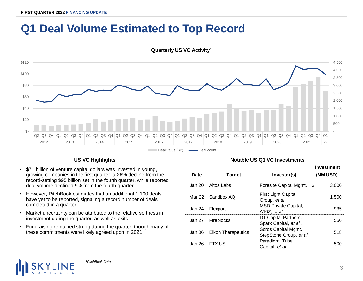## **Q1 Deal Volume Estimated to Top Record**



- \$71 billion of venture capital dollars was invested in young, growing companies in the first quarter, a 26% decline from the record-setting \$95 billion set in the fourth quarter, while reported deal volume declined 9% from the fourth quarter
- However, PitchBook estimates that an additional 1,100 deals have yet to be reported, signaling a record number of deals completed in a quarter
- Market uncertainty can be attributed to the relative softness in investment during the quarter, as well as exits
- Fundraising remained strong during the quarter, though many of these commitments were likely agreed upon in 2021

## **US VC Highlights Notable US Q1 VC Investments**

|      |                           |                                                | Investment |       |
|------|---------------------------|------------------------------------------------|------------|-------|
| Date | <b>Target</b>             | Investor(s)                                    | (MM USD)   |       |
|      | Jan 20 Altos Labs         | Foresite Capital Mgmt. \$                      |            | 3.000 |
|      | Mar 22 Sandbox AQ         | <b>First Light Capital</b><br>Group, et al.    |            | 1.500 |
|      | Jan 24 Flexport           | <b>MSD Private Capital,</b><br>A16Z. et al.    |            | 935   |
|      | Jan 27 Fireblocks         | D1 Capital Partners,<br>Spark Capital, et al.  |            | 550   |
|      | Jan 06 Eikon Therapeutics | Soros Capital Mgmt.,<br>StepStone Group, et al |            | 518   |
|      | $Jan 26$ FTX US           | Paradigm, Tribe<br>Capital, et al.             |            |       |

<sup>1</sup>*PitchBook Data*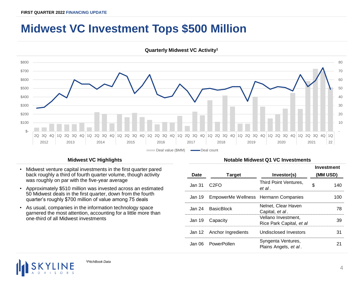## **Midwest VC Investment Tops \$500 Million**



**Quarterly Midwest VC Activity<sup>1</sup>**

- Midwest venture capital investments in the first quarter pared back roughly a third of fourth quarter volume, though activity was roughly on par with the five-year average
- Approximately \$510 million was invested across an estimated 50 Midwest deals in the first quarter, down from the fourth quarter's roughly \$700 million of value among 75 deals
- As usual, companies in the information technology space garnered the most attention, accounting for a little more than one-third of all Midwest investments

## **Midwest VC Highlights Midwest VC Highlights Notable Midwest Q1 VC Investments**

|             |                                             |                                                 | Investment |     |
|-------------|---------------------------------------------|-------------------------------------------------|------------|-----|
| <b>Date</b> | <b>Target</b>                               | Investor(s)                                     | (MM USD)   |     |
| Jan 31.     | C <sub>2</sub> EO                           | Third Point Ventures,<br>et al.                 | S          | 140 |
|             | Jan 19 EmpowerMe Wellness Hermann Companies |                                                 |            | 100 |
|             | Jan 24 BasicBlock                           | Nelnet. Clear Haven<br>Capital, et al.          |            | 78  |
|             | Jan 19 Capacity                             | Vellano Investment.<br>Rice Park Capital, et al |            | 39  |
|             | Jan 12 Anchor Ingredients                   | Undisclosed Investors                           |            | 31  |
|             | Jan 06 PowerPollen                          | Syngenta Ventures,<br>Plains Angels, et al.     |            |     |



<sup>1</sup>*PitchBook Data*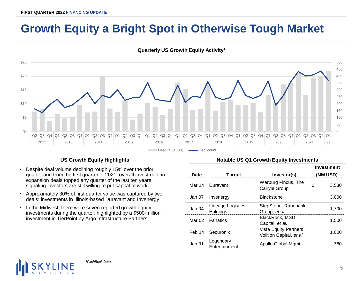## **Growth Equity a Bright Spot in Otherwise Tough Market**



**Quarterly US Growth Equity Activity<sup>1</sup>**

- Despite deal volume declining roughly 15% over the prior quarter and from the first quarter of 2021, overall investment in expansion deals topped any quarter of the last ten years, signaling investors are still willing to put capital to work
- Approximately 30% of first quarter value was captured by two deals: investments in Illinois-based Duravant and Invenergy
- In the Midwest, there were seven reported growth equity investments during the quarter, highlighted by a \$500-million investment in TierPoint by Argo Infrastructure Partners

## US Growth Equity Highlights **Notable US Q1 Growth Equity Investments**

|                   |                                                                       |                                                    | Investment |       |
|-------------------|-----------------------------------------------------------------------|----------------------------------------------------|------------|-------|
| Date              | <b>Target</b>                                                         | Investor(s)                                        | (MM USD)   |       |
|                   | Mar 14 Duravant                                                       | Warburg Pincus, The<br>Carlyle Group               |            | 3.530 |
|                   | Jan 07 Invenergy                                                      | <b>Blackstone</b>                                  |            | 3.000 |
| Jan <sub>04</sub> | StepStone, Rabobank<br>Lineage Logistics<br>Holdings<br>Group, et al. |                                                    |            | 1.700 |
|                   | Mar 02 Fanatics                                                       | BlackRock, MSD<br>Capital, et al.                  |            | 1.500 |
|                   | Feb 14 Securonix                                                      | Vista Equity Partners,<br>Volition Capital, et al. |            | 1.000 |
| Jan 31            | Legendary<br>Entertainment                                            | Apollo Global Mgmt.                                |            | 760   |

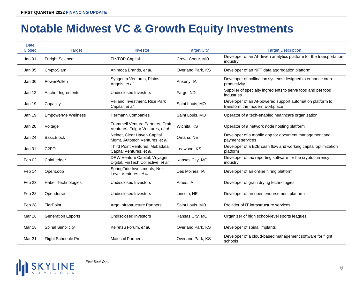## **Notable Midwest VC & Growth Equity Investments**

| Date<br><b>Closed</b> | <b>Target</b>              | Investor                                                                     | <b>Target City</b> | <b>Target Description</b>                                                                   |
|-----------------------|----------------------------|------------------------------------------------------------------------------|--------------------|---------------------------------------------------------------------------------------------|
| Jan 01                | <b>Freight Science</b>     | <b>FINTOP Capital</b>                                                        | Creve Coeur, MO    | Developer of an AI-driven analytics platform for the transportation<br>industry             |
| <b>Jan 05</b>         | CryptoSlam                 | Animoca Brands, et al.                                                       | Overland Park, KS  | Developer of an NFT data aggregation platform                                               |
| Jan 06                | PowerPollen                | Syngenta Ventures, Plains<br>Angels, et al.                                  | Ankeny, IA         | Developer of pollination systems designed to enhance crop<br>productivity                   |
| Jan 12                | Anchor Ingredients         | <b>Undisclosed Investors</b>                                                 | Fargo, ND          | Supplier of specialty ingredients to serve food and pet food<br>industries                  |
| Jan 19                | Capacity                   | Vellano Investment, Rice Park<br>Capital, et al.                             | Saint Louis, MO    | Developer of an AI-powered support automation platform to<br>transform the modern workplace |
| Jan 19                | EmpowerMe Wellness         | Hermann Companies                                                            | Saint Louis, MO    | Operator of a tech-enabled healthcare organization                                          |
| Jan 20                | Voltage                    | <b>Trammell Venture Partners, Craft</b><br>Ventures, Fulgur Ventures, et al. | Wichita, KS        | Operator of a network node hosting platform                                                 |
| Jan 24                | <b>BasicBlock</b>          | Nelnet, Clear Haven Capital<br>Mgmt. Autotech Ventures, et al.               | Omaha, NE          | Developer of a mobile app for document management and<br>payment services                   |
| Jan 31                | C <sub>2FO</sub>           | Third Point Ventures, Mubadala<br>Capital Ventures, et al.                   | Leawood, KS        | Developer of a B2B cash flow and working capital optimization<br>platform                   |
| Feb 02                | CoinLedger                 | DRW Venture Capital, Voyager<br>Digital, FinTech Collective, et al.          | Kansas City, MO    | Developer of tax reporting software for the cryptocurrency<br>industry                      |
| Feb 14                | OpenLoop                   | SpringTide Investments, Next<br>Level Ventures, et al.                       | Des Moines, IA     | Developer of an online hiring platform                                                      |
| Feb <sub>23</sub>     | <b>Haber Technologies</b>  | <b>Undisclosed Investors</b>                                                 | Ames, IA           | Developer of grain drying technologies                                                      |
| Feb 28                | Opendorse                  | <b>Undisclosed Investors</b>                                                 | Lincoln, NE        | Developer of an open endorsement platform                                                   |
| Feb <sub>28</sub>     | <b>TierPoint</b>           | Argo Infrastructure Partners                                                 | Saint Louis, MO    | Provider of IT infrastructure services                                                      |
| Mar 18                | <b>Generation Esports</b>  | <b>Undisclosed Investors</b>                                                 | Kansas City, MO    | Organizer of high school-level sports leagues                                               |
| Mar 18                | <b>Spinal Simplicity</b>   | Keiretsu Forum, et al.                                                       | Overland Park, KS  | Developer of spinal implants                                                                |
| Mar 31                | <b>Flight Schedule Pro</b> | <b>Mainsail Partners</b>                                                     | Overland Park, KS  | Developer of a cloud-based management software for flight<br>schools                        |



*PitchBook Data*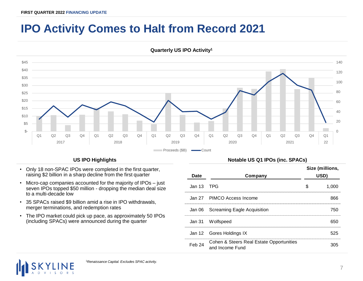## **IPO Activity Comes to Halt from Record 2021**



**Quarterly US IPO Activity<sup>1</sup>**

- Only 18 non-SPAC IPOs were completed in the first quarter, raising \$2 billion in a sharp decline from the first quarter
- Micro-cap companies accounted for the majority of IPOs just seven IPOs topped \$50 million - dropping the median deal size to a multi-decade low
- 35 SPACs raised \$9 billion amid a rise in IPO withdrawals, merger terminations, and redemption rates
- The IPO market could pick up pace, as approximately 50 IPOs (including SPACs) were announced during the quarter

## **US IPO Highlights Notable US Q1 IPOs (inc. SPACs)**

|                   |                                                             | Size (millions, |       |
|-------------------|-------------------------------------------------------------|-----------------|-------|
| <b>Date</b>       | Company                                                     | USD)            |       |
| Jan 13 TPG        |                                                             |                 | 1.000 |
|                   | Jan 27 PIMCO Access Income                                  |                 | 866   |
|                   | Jan 06 Screaming Eagle Acquisition                          |                 | 750   |
|                   | Jan 31 Wolfspeed                                            |                 | 650   |
|                   | Jan 12 Gores Holdings IX                                    |                 | 525   |
| Feb <sub>24</sub> | Cohen & Steers Real Estate Opportunities<br>and Income Fund |                 |       |

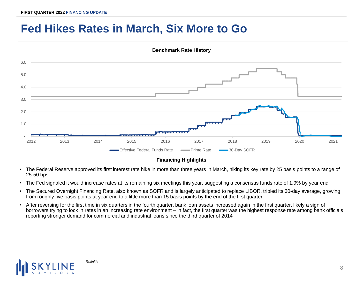## **Fed Hikes Rates in March, Six More to Go**



**Benchmark Rate History**

• The Federal Reserve approved its first interest rate hike in more than three years in March, hiking its key rate by 25 basis points to a range of 25-50 bps

- The Fed signaled it would increase rates at its remaining six meetings this year, suggesting a consensus funds rate of 1.9% by year end
- The Secured Overnight Financing Rate, also known as SOFR and is largely anticipated to replace LIBOR, tripled its 30-day average, growing from roughly five basis points at year end to a little more than 15 basis points by the end of the first quarter
- After reversing for the first time in six quarters in the fourth quarter, bank loan assets increased again in the first quarter, likely a sign of borrowers trying to lock in rates in an increasing rate environment – in fact, the first quarter was the highest response rate among bank officials reporting stronger demand for commercial and industrial loans since the third quarter of 2014

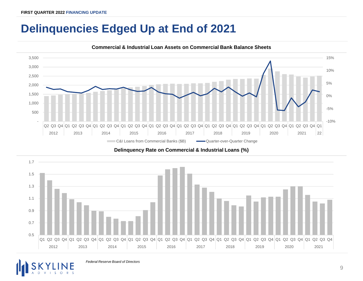## **Delinquencies Edged Up at End of 2021**



**Commercial & Industrial Loan Assets on Commercial Bank Balance Sheets**

**Delinquency Rate on Commercial & Industrial Loans (%)**



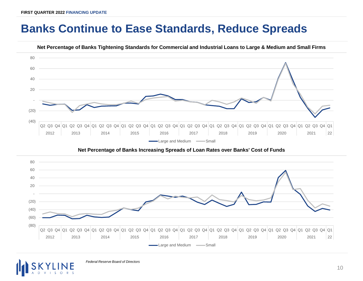## **Banks Continue to Ease Standards, Reduce Spreads**



**Net Percentage of Banks Tightening Standards for Commercial and Industrial Loans to Large & Medium and Small Firms**

## **Net Percentage of Banks Increasing Spreads of Loan Rates over Banks' Cost of Funds**





*Federal Reserve Board of Directors*